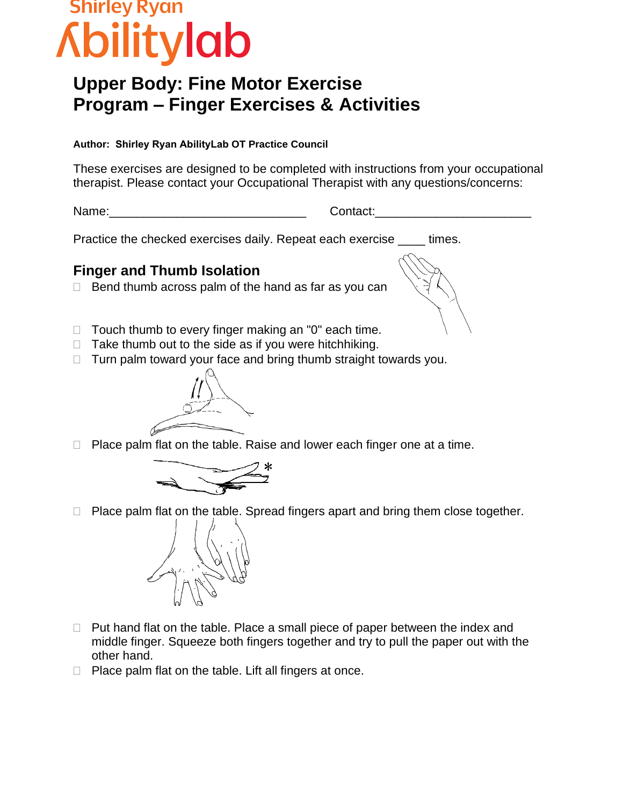# Shirley Ryan ibilitylab

## **Upper Body: Fine Motor Exercise Program – Finger Exercises & Activities**

#### **Author: Shirley Ryan AbilityLab OT Practice Council**

These exercises are designed to be completed with instructions from your occupational therapist. Please contact your Occupational Therapist with any questions/concerns:

Name: extending the set of the contact:  $\blacksquare$ 

Practice the checked exercises daily. Repeat each exercise \_\_\_\_ times.

## **Finger and Thumb Isolation**

- $\Box$  Bend thumb across palm of the hand as far as you can
- $\Box$  Touch thumb to every finger making an "0" each time.
- $\Box$  Take thumb out to the side as if you were hitchhiking.
- $\Box$  Turn palm toward your face and bring thumb straight towards you.



 $\Box$  Place palm flat on the table. Raise and lower each finger one at a time.



 $\Box$  Place palm flat on the table. Spread fingers apart and bring them close together.



- $\Box$  Put hand flat on the table. Place a small piece of paper between the index and middle finger. Squeeze both fingers together and try to pull the paper out with the other hand.
- $\Box$  Place palm flat on the table. Lift all fingers at once.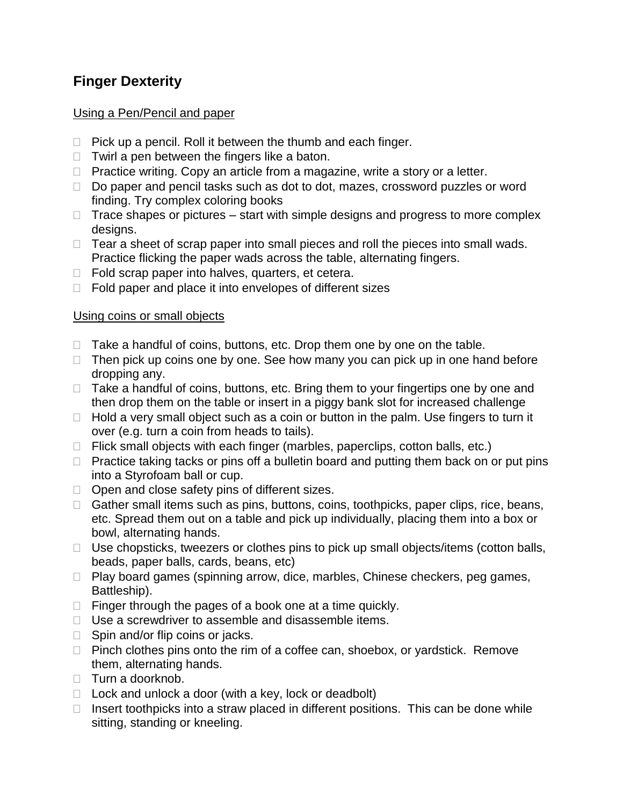## **Finger Dexterity**

## Using a Pen/Pencil and paper

- $\Box$  Pick up a pencil. Roll it between the thumb and each finger.
- $\Box$  Twirl a pen between the fingers like a baton.
- $\Box$  Practice writing. Copy an article from a magazine, write a story or a letter.
- $\Box$  Do paper and pencil tasks such as dot to dot, mazes, crossword puzzles or word finding. Try complex coloring books
- $\Box$  Trace shapes or pictures start with simple designs and progress to more complex designs.
- $\Box$  Tear a sheet of scrap paper into small pieces and roll the pieces into small wads. Practice flicking the paper wads across the table, alternating fingers.
- $\Box$  Fold scrap paper into halves, quarters, et cetera.
- $\Box$  Fold paper and place it into envelopes of different sizes

#### Using coins or small objects

- $\Box$  Take a handful of coins, buttons, etc. Drop them one by one on the table.
- $\Box$  Then pick up coins one by one. See how many you can pick up in one hand before dropping any.
- $\Box$  Take a handful of coins, buttons, etc. Bring them to your fingertips one by one and then drop them on the table or insert in a piggy bank slot for increased challenge
- $\Box$  Hold a very small object such as a coin or button in the palm. Use fingers to turn it over (e.g. turn a coin from heads to tails).
- $\Box$  Flick small objects with each finger (marbles, paperclips, cotton balls, etc.)
- $\Box$  Practice taking tacks or pins off a bulletin board and putting them back on or put pins into a Styrofoam ball or cup.
- $\Box$  Open and close safety pins of different sizes.
- $\Box$  Gather small items such as pins, buttons, coins, toothpicks, paper clips, rice, beans, etc. Spread them out on a table and pick up individually, placing them into a box or bowl, alternating hands.
- $\Box$  Use chopsticks, tweezers or clothes pins to pick up small objects/items (cotton balls, beads, paper balls, cards, beans, etc)
- $\Box$  Play board games (spinning arrow, dice, marbles, Chinese checkers, peg games, Battleship).
- $\Box$  Finger through the pages of a book one at a time quickly.
- $\Box$  Use a screwdriver to assemble and disassemble items.
- $\Box$  Spin and/or flip coins or jacks.
- $\Box$  Pinch clothes pins onto the rim of a coffee can, shoebox, or yardstick. Remove them, alternating hands.
- $\Box$  Turn a doorknob.
- $\Box$  Lock and unlock a door (with a key, lock or deadbolt)
- $\Box$  Insert toothpicks into a straw placed in different positions. This can be done while sitting, standing or kneeling.